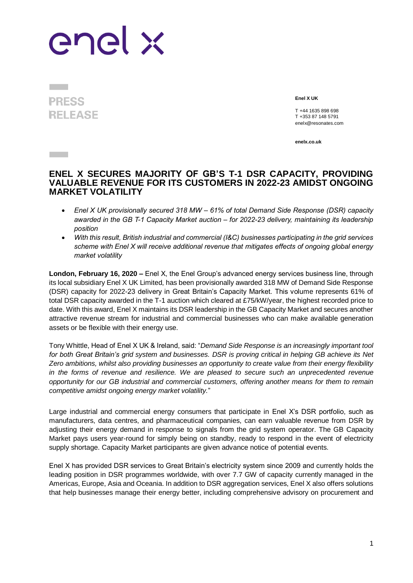## enel x

## **PRESS RELEASE**

**Contract** 

**Enel X UK**

T +44 1635 898 698 T +353 87 148 5791 enelx@resonates.com

**enelx.co.uk**

## **ENEL X SECURES MAJORITY OF GB'S T-1 DSR CAPACITY, PROVIDING VALUABLE REVENUE FOR ITS CUSTOMERS IN 2022-23 AMIDST ONGOING MARKET VOLATILITY**

- *Enel X UK provisionally secured 318 MW – 61% of total Demand Side Response (DSR) capacity awarded in the GB T-1 Capacity Market auction – for 2022-23 delivery, maintaining its leadership position*
- *With this result, British industrial and commercial (I&C) businesses participating in the grid services scheme with Enel X will receive additional revenue that mitigates effects of ongoing global energy market volatility*

**London, February 16, 2020 –** Enel X, the Enel Group's advanced energy services business line, through its local subsidiary Enel X UK Limited, has been provisionally awarded 318 MW of Demand Side Response (DSR) capacity for 2022-23 delivery in Great Britain's Capacity Market. This volume represents 61% of total DSR capacity awarded in the T-1 auction which cleared at £75/kW/year, the highest recorded price to date. With this award, Enel X maintains its DSR leadership in the GB Capacity Market and secures another attractive revenue stream for industrial and commercial businesses who can make available generation assets or be flexible with their energy use.

Tony Whittle, Head of Enel X UK & Ireland, said: "*Demand Side Response is an increasingly important tool for both Great Britain's grid system and businesses. DSR is proving critical in helping GB achieve its Net Zero ambitions, whilst also providing businesses an opportunity to create value from their energy flexibility in the forms of revenue and resilience. We are pleased to secure such an unprecedented revenue opportunity for our GB industrial and commercial customers, offering another means for them to remain competitive amidst ongoing energy market volatility.*"

Large industrial and commercial energy consumers that participate in Enel X's DSR portfolio, such as manufacturers, data centres, and pharmaceutical companies, can earn valuable revenue from DSR by adjusting their energy demand in response to signals from the grid system operator. The GB Capacity Market pays users year-round for simply being on standby, ready to respond in the event of electricity supply shortage. Capacity Market participants are given advance notice of potential events.

Enel X has provided DSR services to Great Britain's electricity system since 2009 and currently holds the leading position in DSR programmes worldwide, with over 7.7 GW of capacity currently managed in the Americas, Europe, Asia and Oceania. In addition to DSR aggregation services, Enel X also offers solutions that help businesses manage their energy better, including comprehensive advisory on procurement and